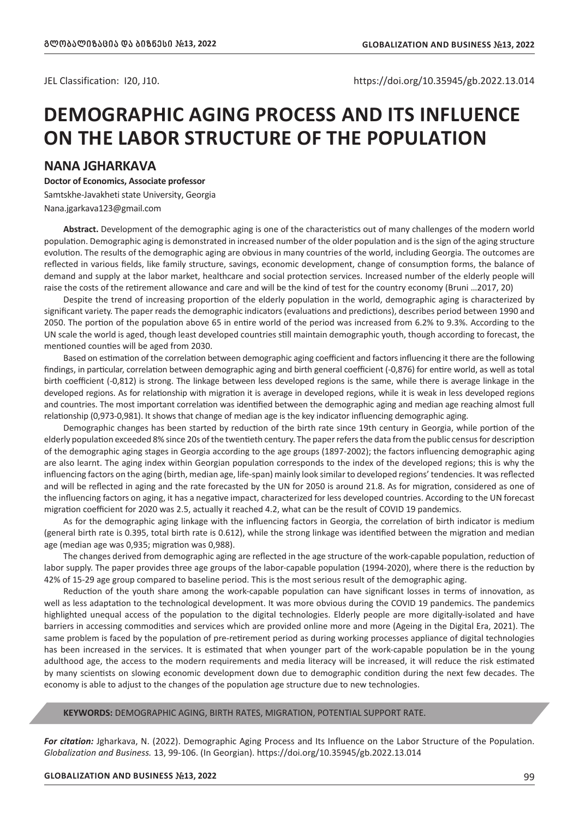JEL Classification: I20, J10. https://doi.org/10.35945/gb.2022.13.014

## **DEMOGRAPHIC AGING PROCESS AND ITS INFLUENCE ON THE LABOR STRUCTURE OF THE POPULATION**

## **NANA JGHARKAVA**

**Doctor of Economics, Associate professor**

Samtskhe-Javakheti state University, Georgia Nana.jgarkava123@gmail.com

**Abstract.** Development of the demographic aging is one of the characteristics out of many challenges of the modern world population. Demographic aging is demonstrated in increased number of the older population and is the sign of the aging structure evolution. The results of the demographic aging are obvious in many countries of the world, including Georgia. The outcomes are reflected in various fields, like family structure, savings, economic development, change of consumption forms, the balance of demand and supply at the labor market, healthcare and social protection services. Increased number of the elderly people will raise the costs of the retirement allowance and care and will be the kind of test for the country economy (Bruni …2017, 20)

Despite the trend of increasing proportion of the elderly population in the world, demographic aging is characterized by significant variety. The paper reads the demographic indicators (evaluations and predictions), describes period between 1990 and 2050. The portion of the population above 65 in entire world of the period was increased from 6.2% to 9.3%. According to the UN scale the world is aged, though least developed countries still maintain demographic youth, though according to forecast, the mentioned counties will be aged from 2030.

Based on estimation of the correlation between demographic aging coefficient and factors influencing it there are the following findings, in particular, correlation between demographic aging and birth general coefficient (-0,876) for entire world, as well as total birth coefficient (-0,812) is strong. The linkage between less developed regions is the same, while there is average linkage in the developed regions. As for relationship with migration it is average in developed regions, while it is weak in less developed regions and countries. The most important correlation was identified between the demographic aging and median age reaching almost full relationship (0,973-0,981). It shows that change of median age is the key indicator influencing demographic aging.

Demographic changes has been started by reduction of the birth rate since 19th century in Georgia, while portion of the elderly population exceeded 8% since 20s of the twentieth century. The paper refers the data from the public census for description of the demographic aging stages in Georgia according to the age groups (1897-2002); the factors influencing demographic aging are also learnt. The aging index within Georgian population corresponds to the index of the developed regions; this is why the influencing factors on the aging (birth, median age, life-span) mainly look similar to developed regions' tendencies. It was reflected and will be reflected in aging and the rate forecasted by the UN for 2050 is around 21.8. As for migration, considered as one of the influencing factors on aging, it has a negative impact, characterized for less developed countries. According to the UN forecast migration coefficient for 2020 was 2.5, actually it reached 4.2, what can be the result of COVID 19 pandemics.

As for the demographic aging linkage with the influencing factors in Georgia, the correlation of birth indicator is medium (general birth rate is 0.395, total birth rate is 0.612), while the strong linkage was identified between the migration and median age (median age was 0,935; migration was 0,988).

The changes derived from demographic aging are reflected in the age structure of the work-capable population, reduction of labor supply. The paper provides three age groups of the labor-capable population (1994-2020), where there is the reduction by 42% of 15-29 age group compared to baseline period. This is the most serious result of the demographic aging.

Reduction of the youth share among the work-capable population can have significant losses in terms of innovation, as well as less adaptation to the technological development. It was more obvious during the COVID 19 pandemics. The pandemics highlighted unequal access of the population to the digital technologies. Elderly people are more digitally-isolated and have barriers in accessing commodities and services which are provided online more and more (Ageing in the Digital Era, 2021). The same problem is faced by the population of pre-retirement period as during working processes appliance of digital technologies has been increased in the services. It is estimated that when younger part of the work-capable population be in the young adulthood age, the access to the modern requirements and media literacy will be increased, it will reduce the risk estimated by many scientists on slowing economic development down due to demographic condition during the next few decades. The economy is able to adjust to the changes of the population age structure due to new technologies.

#### **KEYWORDS:** DEMOGRAPHIC AGING, BIRTH RATES, MIGRATION, POTENTIAL SUPPORT RATE.

*For citation:* Jgharkava, N. (2022). Demographic Aging Process and Its Influence on the Labor Structure of the Population. *Globalization and Business.* 13, 99-106. (In Georgian). https://doi.org/10.35945/gb.2022.13.014

#### **GLOBALIZATION AND BUSINESS** *#***13, 2022** 99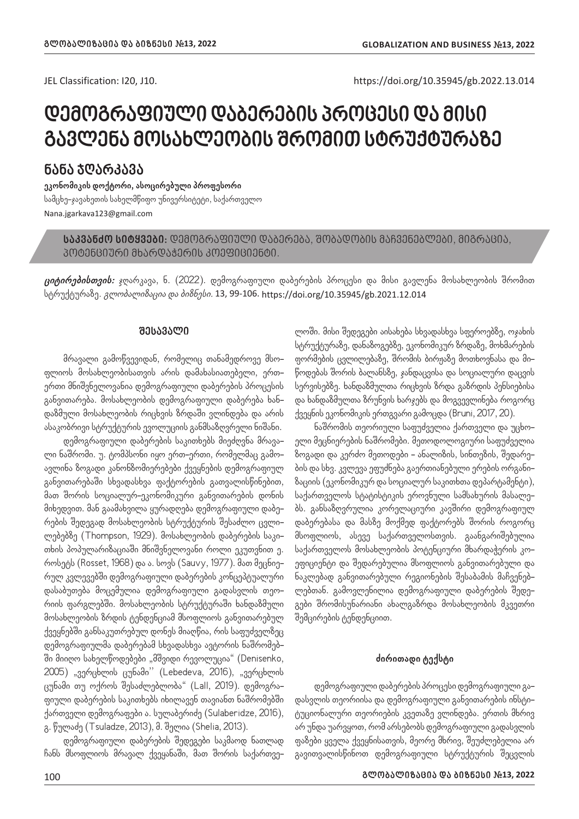JEL Classification: I20, J10. https://doi.org/10.35945/gb.2022.13.014

# **დემოგრაფიული დაბერების პროცესი და მისი გავლენა მოსახლეობის შრომით სტრუქტურაზე**

**ნანა ჯღარკავა**

**ეკონომიკის დოქტორი, ასოცირებული პროფესორი** სამცხე-ჯავახეთის სახელმწიფო უნივერსიტეტი, საქართველო Nana.jgarkava123@gmail.com

**საკვანძო სიტყვები:** დემოგრაფიული დაბერება, შობადობის მაჩვენებლები, მიგრაცია, პოტენციური მხარდაჭერის კოეფიციენტი.

**ციტირებისთვის:** ჯღარკავა, ნ. (2022). დემოგრაფიული დაბერების პროცესი და მისი გავლენა მოსახლეობის შრომით სტრუქტურაზე. *გლობალიზაცია და ბიზნესი.* 13, 99-106. https://doi.org/10.35945/gb.2021.12.014

### **შესავალი**

მრავალი გამოწვევიდან, რომელიც თანამედროვე მსოფლიოს მოსახლეობისათვის არის დამახასიათებელი, ერთერთი მნიშვნელოვანია დემოგრაფიული დაბერების პროცესის განვითარება. მოსახლეობის დემოგრაფიული დაბერება ხანდაზმული მოსახლეობის რიცხვის ზრდაში ვლინდება და არის ასაკობრივი სტრუქტურის ევოლუციის განმსაზღვრელი ნიშანი.

დემოგრაფიული დაბერების საკითხებს მიეძღვნა მრავალი ნაშრომი. უ. ტომპსონი იყო ერთ-ერთი, რომელმაც გამოავლინა ზოგადი კანონზომიერებები ქვეყნების დემოგრაფიულ განვითარებაში სხვადასხვა ფაქტორების გათვალისწინებით, მათ შორის სოციალურ-ეკონომიკური განვითარების დონის მიხედვით. მან გაამახვილა ყურადღება დემოგრაფიული დაბერების შედეგად მოსახლეობის სტრუქტურის შესაძლო ცვლილებებზე (Thompson, 1929). მოსახლეობის დაბერების საკითხის პოპულარიზაციაში მნიშვნელოვანი როლი ეკუთვნით ე. როსეტს (Rosset, 1968) და ა. სოვს (Sauvy, 1977). მათ მეცნიერულ კვლევებში დემოგრაფიული დაბერების კონცეპტუალური დასაბუთება მოცემულია დემოგრაფიული გადასვლის თეორიის ფარგლებში. მოსახლეობის სტრუქტურაში ხანდაზმული მოსახლეობის ზრდის ტენდენციამ მსოფლიოს განვითარებულ ქვეყნებში განსაკუთრებულ დონეს მიაღწია, რის საფუძველზეც დემოგრაფიულმა დაბერებამ სხვადასხვა ავტორის ნაშრომებში მიიღო სახელწოდებები "მშვიდი რევოლუცია" (Denisenko, 2005) "ვერცხლის ცუნამი<sup>"</sup> (Lebedeva, 2016), "ვერცხლის ცუნამი თუ ოქროს შესაძლებლობა" (Lall, 2019). დემოგრაფიული დაბერების საკითხებს იხილავენ თავიანთ ნაშრომებში ქართველი დემოგრაფები ა. სულაბერიძე (Sulaberidze, 2016), გ. წულაძე (Tsuladze, 2013), მ. შელია (Shelia, 2013).

დემოგრაფიული დაბერების შედეგები საკმაოდ ნათლად ჩანს მსოფლიოს მრავალ ქვეყანაში, მათ შორის საქართვე*-* ლოში. მისი შედეგები აისახება სხვადასხვა სფეროებზე, ოჯახის სტრუქტურაზე, დანაზოგებზე, ეკონომიკურ ზრდაზე, მოხმარების ფორმების ცვლილებაზე, შრომის ბირჟაზე მოთხოვნასა და მიწოდებას შორის ბალანსზე, ჯანდაცვისა და სოციალური დაცვის სერვისებზე. ხანდაზმულთა რიცხვის ზრდა გაზრდის პენსიებისა და ხანდაზმულთა ზრუნვის ხარჯებს და მოგვევლინება როგორც ქვეყნის ეკონომიკის ერთგვარი გამოცდა (Bruni, 2017, 20).

ნაშრომის თეორიული საფუძველია ქართველი და უცხოელი მეცნიერების ნაშრომები. მეთოდოლოგიური საფუძველია ზოგადი და კერძო მეთოდები - ანალიზის, სინთეზის, შედარების და სხვ. კვლევა ეფუძნება გაერთიანებული ერების ორგანიზაციის (ეკონომიკურ და სოციალურ საკითხთა დეპარტამენტი), საქართველოს სტატისტიკის ეროვნული სამსახურის მასალებს. განსაზღვრულია კორელაციური კავშირი დემოგრაფიულ დაბერებასა და მასზე მოქმედ ფაქტორებს შორის როგორც მსოფლიოს, ასევე საქართველოსთვის. გაანგარიშებულია საქართველოს მოსახლეობის პოტენციური მხარდაჭერის კოეფიციენტი და შედარებულია მსოფლიოს განვითარებული და ნაკლებად განვითარებული რეგიონების შესაბამის მაჩვენებლებთან. გამოვლენილია დემოგრაფიული დაბერების შედეგები შრომისუნარიანი ახალგაზრდა მოსახლეობის მკვეთრი შემცირების ტენდენციით.

#### **ძირითადი ტექსტი**

დემოგრაფიული დაბერების პროცესი დემოგრაფიული გადასვლის თეორიისა და დემოგრაფიული განვითარების ინსტიტუციონალური თეორიების კვეთაზე ვლინდება. ერთის მხრივ არ უნდა უარვყოთ, რომ არსებობს დემოგრაფიული გადასვლის ფაზები ყველა ქვეყნისათვის, მეორე მხრივ, შეუძლებელია არ გავითვალისწინოთ დემოგრაფიული სტრუქტურის შეცვლის

## **გლობალიზაცია და ბიზნესი** *#***13, 2022** 100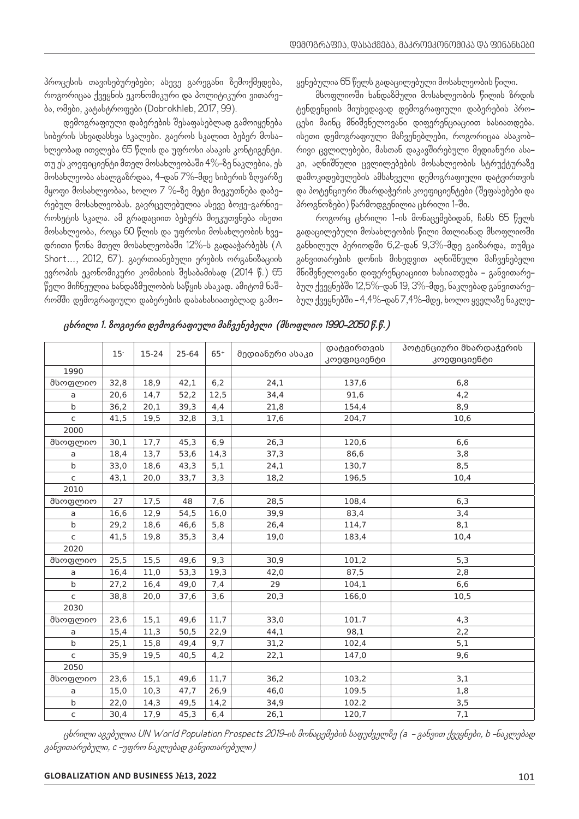პროცესის თავისებურებები; ასევე გარეგანი ზემოქმედება, როგორიცაა ქვეყნის ეკონომიკური და პოლიტიკური ვითარება, ომები, კატასტროფები (Dobrokhleb, 2017, 99).

დემოგრაფიული დაბერების შესაფასებლად გამოიყენება სიბერის სხვადასხვა სკალები. გაეროს სკალით ბებერ მოსახლეობად ითვლება 65 წლის და უფროსი ასაკის კონტიგენტი. თუ ეს კოეფიციენტი მთელ მოსახლეობაში 4%-ზე ნაკლებია, ეს მოსახლეობა ახალგაზრდაა, 4-დან 7%-მდე სიბერის ზღვარზე მყოფი მოსახლეობაა, ხოლო 7 %-ზე მეტი მიეკუთნება დაბერებულ მოსახლეობას. გავრცელებულია ასევე ბოჟე-გარნიეროსეტის სკალა. ამ გრადაციით ბებერს მიეკუთვნება ისეთი მოსახლეობა, როცა 60 წლის და უფროსი მოსახლეობის ხვედრითი წონა მთელ მოსახლეობაში 12%-ს გადააჭარბებს (A Short…, 2012, 67). გაერთიანებული ერების ორგანიზაციის ევროპის ეკონომიკური კომისიის შესაბამისად (2014 წ.) 65 წელი მიჩნეულია ხანდაზმულობის საწყის ასაკად. ამიტომ ნაშრომში დემოგრაფიული დაბერების დასახასიათებლად გამო*-* ყენებულია 65 წელს გადაცილებული მოსახლეობის წილი.

მსოფლიოში ხანდაზმული მოსახლეობის წილის ზრდის ტენდენციის მიუხედავად დემოგრაფიული დაბერების პროცესი მაინც მნიშვნელოვანი დიფერენციაციით ხასიათდება. ისეთი დემოგრაფიული მაჩვენებლები, როგორიცაა ასაკობრივი ცვლილებები, მასთან დაკავშირებული მედიანური ასაკი, აღნიშნული ცვლილებების მოსახლეობის სტრუქტურაზე დამოკიდებულების ამსახველი დემოგრაფიული დატვირთვის და პოტენციური მხარდაჭერის კოეფიციენტები (შეფასებები და პროგნოზები) წარმოდგენილია ცხრილი 1-ში.

როგორც ცხრილი 1-ის მონაცემებიდან, ჩანს 65 წელს გადაცილებული მოსახლეობის წილი მთლიანად მსოფლიოში განხილულ პერიოდში 6,2-დან 9,3%-მდე გაიზარდა, თუმცა განვითარების დონის მიხედვით აღნიშნული მაჩვენებელი მნიშვნელოვანი დიფერენციაციით ხასიათდება - განვითარებულ ქვეყნებში 12,5%-დან 19, 3%-მდე, ნაკლებად განვითარებულ ქვეყნებში - 4,4%-დან 7,4%-მდე, ხოლო ყველაზე ნაკლე*-*

|              | 15 <sup>°</sup> | $15 - 24$ | 25-64 | $65+$ | მედიანური ასაკი | დატვირთვის  | პოტენციური მხარდაჭერის |  |  |
|--------------|-----------------|-----------|-------|-------|-----------------|-------------|------------------------|--|--|
|              |                 |           |       |       |                 | კოეფიციენტი | კოეფიციენტი            |  |  |
| 1990         |                 |           |       |       |                 |             |                        |  |  |
| მსოფლიო      | 32,8            | 18,9      | 42,1  | 6,2   | 24,1            | 137,6       | 6,8                    |  |  |
| a            | 20,6            | 14,7      | 52,2  | 12,5  | 34,4            | 91,6        | 4,2                    |  |  |
| b            | 36,2            | 20,1      | 39,3  | 4,4   | 21,8            | 154,4       | 8,9                    |  |  |
| C            | 41,5            | 19,5      | 32,8  | 3,1   | 17,6            | 204,7       | 10,6                   |  |  |
| 2000         |                 |           |       |       |                 |             |                        |  |  |
| მსოფლიო      | 30,1            | 17,7      | 45,3  | 6,9   | 26,3            | 120,6       | 6,6                    |  |  |
| a            | 18,4            | 13,7      | 53,6  | 14,3  | 37,3            | 86,6        | 3,8                    |  |  |
| $\mathsf{b}$ | 33,0            | 18,6      | 43,3  | 5,1   | 24,1            | 130,7       | 8,5                    |  |  |
| $\mathsf{C}$ | 43,1            | 20,0      | 33,7  | 3,3   | 18,2            | 196,5       | 10,4                   |  |  |
| 2010         |                 |           |       |       |                 |             |                        |  |  |
| მსოფლიო      | 27              | 17,5      | 48    | 7,6   | 28,5            | 108,4       | 6,3                    |  |  |
| a            | 16,6            | 12,9      | 54,5  | 16,0  | 39,9            | 83,4        | 3,4                    |  |  |
| b            | 29,2            | 18,6      | 46,6  | 5,8   | 26,4            | 114,7       | 8,1                    |  |  |
| C            | 41,5            | 19,8      | 35,3  | 3,4   | 19,0            | 183,4       | 10,4                   |  |  |
| 2020         |                 |           |       |       |                 |             |                        |  |  |
| მსოფლიო      | 25,5            | 15,5      | 49,6  | 9,3   | 30,9            | 101,2       | 5,3                    |  |  |
| a            | 16,4            | 11,0      | 53,3  | 19,3  | 42,0            | 87,5        | 2,8                    |  |  |
| b            | 27,2            | 16,4      | 49,0  | 7,4   | 29              | 104,1       | 6,6                    |  |  |
| C            | 38,8            | 20,0      | 37,6  | 3,6   | 20,3            | 166,0       | 10,5                   |  |  |
| 2030         |                 |           |       |       |                 |             |                        |  |  |
| მსოფლიო      | 23,6            | 15,1      | 49,6  | 11,7  | 33,0            | 101.7       | 4,3                    |  |  |
| a            | 15,4            | 11,3      | 50,5  | 22,9  | 44,1            | 98,1        | 2,2                    |  |  |
| b            | 25,1            | 15,8      | 49,4  | 9,7   | 31,2            | 102,4       | 5,1                    |  |  |
| C            | 35,9            | 19,5      | 40,5  | 4,2   | 22,1            | 147,0       | 9,6                    |  |  |
| 2050         |                 |           |       |       |                 |             |                        |  |  |
| მსოფლიო      | 23,6            | 15,1      | 49,6  | 11,7  | 36,2            | 103,2       | 3,1                    |  |  |
| a            | 15,0            | 10,3      | 47,7  | 26,9  | 46,0            | 109.5       | 1,8                    |  |  |
| b            | 22,0            | 14,3      | 49,5  | 14,2  | 34,9            | 102.2       | 3,5                    |  |  |
| C            | 30,4            | 17,9      | 45,3  | 6,4   | 26,1            | 120,7       | 7,1                    |  |  |

**ცხრილი 1. ზოგიერი დემოგრაფიული მაჩვენებელი (მსოფლიო 1990-2050 წ.წ.)**

ცხრილი აგებულია UN World Population Prospects 2019-ის მონაცემების საფუძველზე (a - განვით ქვეყნები, b -ნაკლებად განვითარებული, c -უფრო ნაკლებად განვითარებული)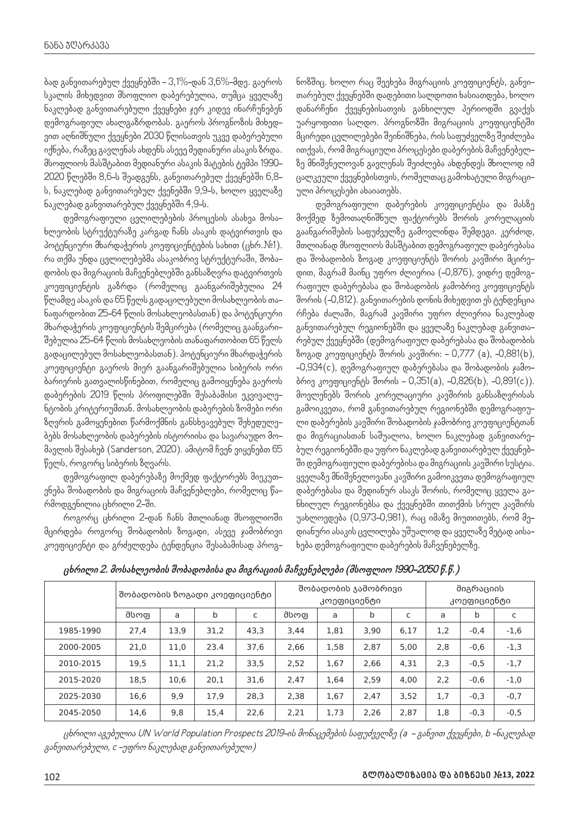ბად განვითარებულ ქვეყნებში - 3,1%-დან 3,6%-მდე. გაეროს სკალის მიხედვით მსოფლიო დაბერებულია, თუმცა ყველაზე ნაკლებად განვითარებული ქვეყნები ჯერ კიდევ ინარჩუნებენ დემოგრაფიულ ახალგაზრდობას. გაეროს პროგნოზის მიხედვით აღნიშნული ქვეყნები 2030 წლისათვის უკვე დაბერებული იქნება, რაზეც გავლენას ახდენს ასევე მედიანური ასაკის ზრდა. მსოფლიოს მასშტაბით მედიანური ასაკის მატების ტემპი 1990- 2020 წლებში 8,6-ს შეადგენს, განვითარებულ ქვეყნებში 6,8 ს, ნაკლებად განვითარებულ ქვენებში 9,9-ს, ხოლო ყველაზე ნაკლებად განვითარებულ ქვეყნებში 4,9-ს.

დემოგრაფიული ცვლილებების პროცესის ასახვა მოსახლეობის სტრუქტურაზე კარგად ჩანს ასაკის დატვირთვის და პოტენციური მხარდაჭერის კოეფიციენტების სახით (ცხრ.№1). რა თქმა უნდა ცვლილებებმა ასაკობრივ სტრუქტურაში, შობადობის და მიგრაციის მაჩვენებლებში განსაზღვრა დატვირთვის კოეფიციენტის გაზრდა (რომელიც გაანგარიშებულია 24 წლამდე ასაკის და 65 წელს გადაცილებული მოსახლეობის თანაფარდობით 25-64 წლის მოსახლეობასთან) და პოტენციური მხარდაჭერის კოეფიციენტის შემცირება (რომელიც გაანგარიშებულია 25-64 წლის მოსახლეობის თანაფართობით 65 წელს გადაცილებულ მოსახლეობასთან). პოტენციური მხარდაჭერის კოეფიციენტი გაეროს მიერ გაანგარიშებულია სიბერის ორი ბარიერის გათვალისწინებით, რომელიც გამოიყენება გაეროს დაბერების 2019 წლის პროფილებში შესაბამისი ეკვივალენტობის კრიტერიუმთან. მოსახლეობის დაბერების ზომები ორი ზღვრის გამოყენებით წარმოქმნის განსხვავებულ შეხედულებებს მოსახლეობის დაბერების ისტორიისა და სავარაუდო მომავლის შესახებ (Sanderson, 2020). ამიტომ ჩვენ ვიყენებთ 65 წელს, როგორც სიბერის ზღვარს.

დემოგრაფილ დაბერებაზე მოქმედ ფაქტორებს მიეკუთვნება შობადობის და მიგრაციის მაჩვენებლები, რომელიც წარმოდგენილია ცხრილი 2-ში.

როგორც ცხრილი 2-დან ჩანს მთლიანად მსოფლიოში მცირდება როგორც შობადობის ზოგადი, ასევე ჯამობრივი კოეფიციენტი და გრძელდება ტენდენცია შესაბამისად პროგ*-*

ნოზშიც. ხოლო რაც შეეხება მიგრაციის კოეფიციენტს, განვითარებულ ქვეყნებში დადებითი სალდოთი ხასიათდება, ხოლო დანარჩენი ქვეყნებისათვის განხილულ პერიოდში გვაქვს უარყოფითი სალდო. პროგნოზში მიგრაციის კოეფიციენტში მცირედი ცვლილებები შეინიშნება, რის საფუძველზე შეიძლება ითქვას, რომ მიგრაციული პროცესები დაბერების მაჩვენებელზე მნიშვნელოვან გავლენას შეიძლება ახდენდეს მხოლოდ იმ ცალკეული ქვეყნებისთვის, რომელთაც გამოხატული მიგრაციული პროცესები ახაიათებს.

დემოგრაფიული დაბერების კოეფიციენტსა და მასზე მოქმედ ზემოთაღნიშნულ ფაქტორებს შორის კორელაციის გაანგარიშების საფუძველზე გამოვლინდა შემდეგი. კერძოდ, მთლიანად მსოფლიოს მასშტაბით დემოგრაფიულ დაბერებასა და შობადობის ზოგად კოეფიციენტს შორის კავშირი მცირედით, მაგრამ მაინც უფრო ძლიერია (-0,876), ვიდრე დემოგრაფიულ დაბერებასა და შობადობის ჯამობრივ კოეფიციენტს შორის (-0,812). განვითარების დონის მიხედვით ეს ტენდენცია რჩება ძალაში, მაგრამ კავშირი უფრო ძლიერია ნაკლებად განვითარებულ რეგიონებში და ყველაზე ნაკლებად განვითარებულ ქვეყნებში (დემოგრაფიულ დაბერებასა და შობადობის ზოგად კოეფიციენტს შორის კავშირი: - 0,777 (a), -0,881(b), -0,934(c), დემოგრაფიულ დაბერებასა და შობადობის ჯამობრივ კოეფიციენტს შორის – 0,351(a), –0,826(b), –0,891(c)). მოვლენებს შორის კორელაციური კავშირის განსაზღვრისას გამოიკვეთა, რომ განვითარებულ რეგიონებში დემოგრაფიული დაბერების კავშირი შობადობის ჯამობრივ კოეფიციენტთან და მიგრაციასთან საშუალოა, ხოლო ნაკლებად განვითარებულ რეგიონებში და უფრო ნაკლებად განვითარებულ ქვეყნებში დემოგრაფიული დაბერებისა და მიგრაციის კავშირი სუსტია. ყველაზე მნიშვნელოვანი კავშირი გამოიკვეთა დემოგრაფიულ დაბერებასა და მედიანურ ასაკს შორის, რომელიც ყველა განხილულ რეგიონებსა და ქვეყნებში თითქმის სრულ კავშირს უახლოვდება (0,973-0,981), რაც იმაზე მიუთითებს, რომ მედიანური ასაკის ცვლილება უშუალოდ და ყველაზე მეტად აისახება დემოგრაფიული დაბერების მაჩვენებელზე.

|           | შობადობის ზოგადი კოეფიციენტი |      |      |      | შობადობის ჯამობრივი<br>კოეფიციენტი |      |      |      | მიგრაციის<br>კოეფიციენტი |        |        |
|-----------|------------------------------|------|------|------|------------------------------------|------|------|------|--------------------------|--------|--------|
|           | მსოფ                         | a    | b    | C    | მსოფ                               | a    | b    | C    | a                        | b      | C      |
| 1985-1990 | 27,4                         | 13,9 | 31,2 | 43,3 | 3,44                               | 1,81 | 3,90 | 6,17 | 1,2                      | $-0.4$ | $-1,6$ |
| 2000-2005 | 21,0                         | 11,0 | 23.4 | 37,6 | 2,66                               | 1,58 | 2,87 | 5.00 | 2,8                      | $-0,6$ | $-1,3$ |
| 2010-2015 | 19,5                         | 11,1 | 21,2 | 33,5 | 2,52                               | 1,67 | 2,66 | 4,31 | 2,3                      | $-0,5$ | $-1,7$ |
| 2015-2020 | 18,5                         | 10,6 | 20,1 | 31,6 | 2,47                               | 1,64 | 2,59 | 4,00 | 2,2                      | $-0,6$ | $-1,0$ |
| 2025-2030 | 16,6                         | 9,9  | 17,9 | 28,3 | 2,38                               | 1,67 | 2,47 | 3,52 | 1,7                      | $-0,3$ | $-0,7$ |
| 2045-2050 | 14,6                         | 9,8  | 15,4 | 22,6 | 2.21                               | 1,73 | 2.26 | 2,87 | 1,8                      | $-0.3$ | $-0,5$ |

**ცხრილი 2. მოსახლეობის შობადობისა და მიგრაციის მაჩვენებლები (მსოფლიო 1990-2050 წ.წ.)**

ცხრილი აგებულია UN World Population Prospects 2019-ის მონაცემების საფუძველზე (a - განვით ქვეყნები, b -ნაკლებად განვითარებული, c -უფრო ნაკლებად განვითარებული)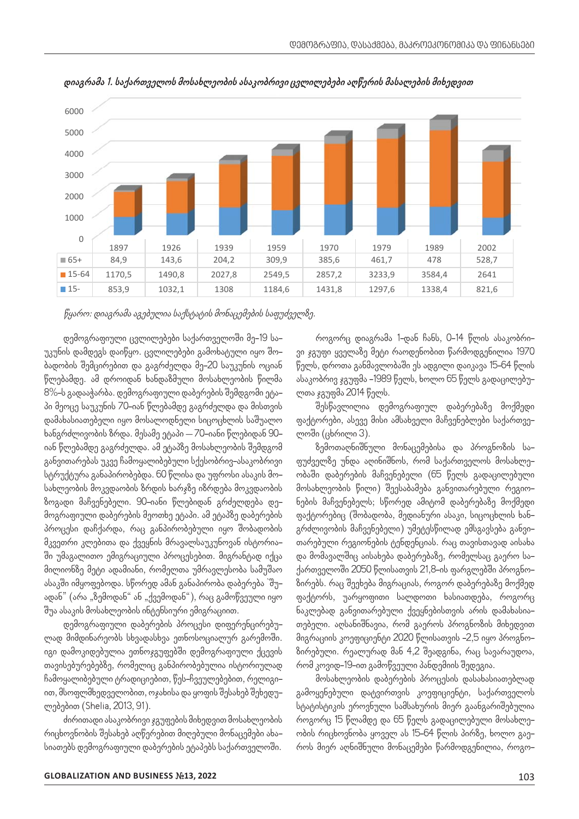

**დიაგრამა 1. საქართველოს მოსახლეობის ასაკობრივი ცვლილებები აღწერის მასალების მიხედვით** აღწერის მასალების მიხედვით

წყარო: დიაგრამა აგებულია საქსტატის მონაცემების საფუძველზე.

დემოგრაფიული ცვლილებები საქართველოში მე-19 საუკუნის დამდეგს დაიწყო. ცვლილებები გამოხატული იყო შობადობის შემცირებით და გაგრძელდა მე-20 საუკუნის ოციან წლებამდე. ამ დროიდან ხანდაზმული მოსახლეობის წილმა პი მეოცე საუკუნის 70-იან წლებამდე გაგრძელდა და მისთვის დამახასიათებელი იყო მოსალოდნელი სიცოცხლის საშუალო ხანგრძლივობის ზრდა. მესამე ეტაპი – 70-იანი წლებიდან 90 იან წლებამდე გაგრძელდა. ამ ეტაპზე მოსახლეობის შემდგომ განვითარებას უკვე ჩამოყალიბებული სქესობრივ-ასაკობრივი სტრუქტურა განაპირობებდა. 60 წლისა და უფროსი ასაკის მოსახლეობის მოკვდაობის ზრდის ხარჯზე იზრდება მოკვდაობის ზოგადი მაჩვენებელი. 90-იანი წლებიდან გრძელდება დემოგრაფიული დაბერების მეოთხე ეტაპი. ამ ეტაპზე დაბერების პროცესი დაჩქარდა, რაც განპირობებული იყო შობადობის მკვეთრი კლებითა და ქვეყნის მრავალსაუკუნოვან ისტორიააეეთით ელეაითა და ეეეეათ ათავალააეეებიუაა იატიითია — თათეაული თეტითვით ტეადეატიათ თაც თავიათ<br>ში უმაგალითო ემიგრაციული პროცესებით. მიგრანტად იქცა — და მომავალშიც აისახება დაბერებაზე, რომელსაც მილიონზე მეტი ადამიანი, რომელთა უმრავლესობა სამუშაო 30‐49 1234,9 1163,5 1052,5 999,9 ასაკში იმყოფებოდა. სწორედ ამან განაპირობა დაბერება `შუ*-*15‐29 1163,1 940,8 859,1 672,8 ადან" (არა "ზემოდან" ან "ქვემოდან"), რაც გამოწვეული იყო შუა ასაკის მოსახლეობის ინტენსიური ემიგრაციით.

დემოგრაფიული დაბერების პროცესი დიფერენცირებულად მიმდინარეობს სხვადასხვა ეთნოსოციალურ გარემოში. იგი დამოკიდებულია ეთნოჯგუფებში დემოგრაფიული ქცევის თავისებურებებზე, რომელიც განპირობებულია ისტორიულად ჩამოყალიბებული ტრადიციებით, წეს-ჩვეულებებით, რელიგიით, მსოფლმხედველობით, ოჯახისა და ყოფის შესახებ შეხედულებებით (Shelia, 2013, 91).

ძირითადი ასაკობრივი ჯგუფების მიხედვით მოსახლეობის რიცხოვნობის შესახებ აღწერებით მიღებული მონაცემები ახასიათებს დემოგრაფიული დაბერების ეტაპებს საქართველოში.

ჯავააადე, აა დიიიდაა ააადაასკა, აიააადებითა გიდაა - აააეიაითე ვეყვაა იააა გედი, აიდი აა გედა ცადაციდე.<br>8%–ს გადააჭარბა. დემოგრაფიული დაბერების შემდგომი ეტა– — ლთა <sub>š</sub>გუფმა 2014 წელს. როგორც დიაგრამა 1-დან ჩანს, 0-14 წლის ასაკობრივი ჯგუფი ყველაზე მეტი რაოდენობით წარმოდგენილია 1970 წელს, დროთა განმავლობაში ეს ადგილი დაიკავა 15-64 წლის ასაკობრივ ჯგუფმა -1989 წელს, ხოლო 65 წელს გადაცილებულთა ჯგუფმა 2014 წელს.

შესწავლილია დემოგრაფიულ დაბერებაზე მოქმედი ფაქტორები, ასევე მისი ამსახველი მაჩვენებლები საქართველოში (ცხრილი 3).

ზემოთაღნიშნული მონაცემებისა და პროგნოზის საფუძველზე უნდა აღინიშნოს, რომ საქართველოს მოსახლეობაში დაბერების მაჩვენებელი (65 წელს გადაცილებული მოსახლეობის წილი) შეესაბამება განვითარებული რეგიონების მაჩვენებელს; სწორედ ამიტომ დაბერებაზე მოქმედი ფაქტორებიც (შობადობა, მედიანური ასაკი, სიცოცხლის ხანგრძლივობის მაჩვენებელი) უმეტესწილად ემსგავსება განვითანის. რეგიონებელი რეგიონების მერთავად არგენებელი ენეტენციას. რაც თავისთავად აისახა<br>ნის მრავალსაუკუნოვან ისტორია– — თარებული რეგიონების ტენდენციას. რაც თავისთავად აისახა და მომავალშიც აისახება დაბერებაზე, რომელსაც გაერო საქართველოში 2050 წლისათვის 21,8-ის ფარგლებში პროგნოზირებს. რაც შეეხება მიგრაციას, როგორ დაბერებაზე მოქმედ ფაქტორს, უარყოფითი სალდოთი ხასიათდება, როგორც ნაკლებად განვითარებული ქვეყნებისთვის არის დამახასიათებელი. აღსანიშნავია, რომ გაეროს პროგნოზის მიხედვით მიგრაციის კოეფიციენტი 2020 წლისათვის -2,5 იყო პროგნოზირებული. რეალურად მან 4,2 შეადგინა, რაც სავარაუდოა, რომ კოვიდ-19-ით გამოწვეული პანდემიის შედეგია.

> მოსახლეობის დაბერების პროცესის დასახასიათებლად გამოყენებული დატვირთვის კოეფიციენტი, საქართველოს სტატისტიკის ეროვნული სამსახურის მიერ გაანგარიშებულია როგორც 15 წლამდე და 65 წელს გადაცილებული მოსახლეობის რიცხოვნობა ყოველ ას 15-64 წლის პირზე, ხოლო გაეროს მიერ აღნიშნული მონაცემები წარმოდგენილია, როგო*-*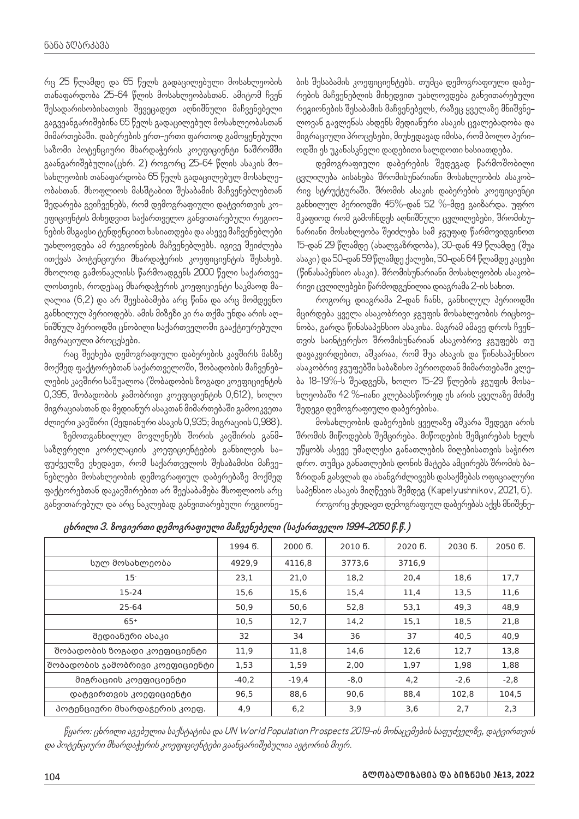რც 25 წლამდე და 65 წელს გადაცილებული მოსახლეობის თანაფარდობა 25-64 წლის მოსახლეობასთან. ამიტომ ჩვენ შესადარისობისათვის შევეცადეთ აღნიშნული მაჩვენებელი გაგვეანგარიშებინა 65 წელს გადაცილებულ მოსახლეობასთან მიმართებაში. დაბერების ერთ-ერთი ფართოდ გამოყენებული საზომი პოტენციური მხარდაჭერის კოეფიციენტი ნაშრომში გაანგარიშებულია(ცხრ. 2) როგორც 25-64 წლის ასაკის მოსახლეობის თანაფარდობა 65 წელს გადაცილებულ მოსახლეობასთან. მსოფლიოს მასშტაბით შესაბამის მაჩვენებლებთან შედარება გვიჩვენებს, რომ დემოგრაფიული დატვირთვის კოეფიციენტის მიხედვით საქართველო განვითარებული რეგიონების მსგავსი ტენდენციით ხასიათდება და ასევე მაჩვენებლები უახლოვდება ამ რეგიონების მაჩვენებლებს. იგივე შეიძლება ითქვას პოტენციური მხარდაჭერის კოეფიციენტის შესახებ. მხოლოდ გამონაკლისს წარმოადგენს 2000 წელი საქართველოსთვის, როდესაც მხარდაჭერის კოეფიციენტი საკმაოდ მაღალია (6,2) და არ შეესაბამება არც წინა და არც მომდევნო განხილულ პერიოდებს. ამის მიზეზი კი რა თქმა უნდა არის აღნიშნულ პერიოდში ცნობილი საქართველოში გააქტიურებული მიგრაციული პროცესები.

რაც შეეხება დემოგრაფიული დაბერების კავშირს მასზე მოქმედ ფაქტორებთან საქართველოში, შობადობის მაჩვენებლების კავშირი საშუალოა (შობადობის ზოგადი კოეფიციენტის 0,395, შობადობის ჯამობრივი კოეფიციენტის 0,612), ხოლო მიგრაციასთან და მედიანურ ასაკთან მიმართებაში გამოიკვეთა ძლიერი კავშირი (მედიანური ასაკის 0,935; მიგრაციის 0,988).

ზემოთგანხილულ მოვლენებს შორის კავშირის განმსაზღვრელი კორელაციის კოეფიციენტების განხილვის საფუძველზე ვხედავთ, რომ საქართველოს შესაბამისი მაჩვენებლები მოსახლეობის დემოგრაფიულ დაბერებაზე მოქმედ ფაქტორებთან დაკავშირებით არ შეესაბამება მსოფლიოს არც განვითარებულ და არც ნაკლებად განვითარებული რეგიონე*-* ბის შესაბამის კოეფიციენტებს. თუმცა დემოგრაფიული დაბერების მაჩვენებლის მიხედვით უახლოვდება განვითარებული რეგიონების შესაბამის მაჩვენებელს, რაზეც ყველაზე მნიშვნელოვან გავლენას ახდენს მედიანური ასაკის ცვალებადობა და მიგრაციული პროცესები, მიუხედავად იმისა, რომ ბოლო პერიოდში ეს უკანასკნელი დადებითი სალდოთი ხასიათდება.

დემოგრაფიული დაბერების შედეგად წარმოშობილი ცვლილება აისახება შრომისუნარიანი მოსახლეობის ასაკობრივ სტრუქტურაში. შრომის ასაკის დაბერების კოეფიციენტი განხილულ პერიოდში 45%-დან 52 %-მდე გაიზარდა. უფრო მკაფიოდ რომ გამოჩნდეს აღნიშნული ცვლილებები, შრომისუნარიანი მოსახლეობა შეიძლება სამ ჯგუფად წარმოვიდგინოთ 15-დან 29 წლამდე (ახალგაზრდობა), 30-დან 49 წლამდე (შუა ასაკი) და 50-დან 59 წლამდე ქალები, 50-დან 64 წლამდე კაცები (წინასაპენსიო ასაკი). შრომისუნარიანი მოსახლეობის ასაკობრივი ცვლილებები წარმოდგენილია დიაგრამა 2-ის სახით.

როგორც დიაგრამა 2-დან ჩანს, განხილულ პერიოდში მცირდება ყველა ასაკობრივი ჯგუფის მოსახლეობის რიცხოვნობა, გარდა წინასაპენსიო ასაკისა. მაგრამ ამავე დროს ჩვენთვის საინტერესო შრომისუნარიან ასაკობრივ ჯგუფებს თუ დავაკვირდებით, აშკარაა, რომ შუა ასაკის და წინასაპენსიო ასაკობრივ ჯგუფებში საბაზისო პერიოდთან მიმართებაში კლება 18-19%-ს შეადგენს, ხოლო 15-29 წლების ჯგუფის მოსახლეობაში 42 %-იანი კლებაასწორედ ეს არის ყველაზე მძიმე შედეგი დემოგრაფიული დაბერებისა.

მოსახლეობის დაბერების ყველაზე აშკარა შედეგი არის შრომის მიწოდების შემცირება. მიწოდების შემცირებას ხელს უწყობს ასევე უმაღლესი განათლების მიღებისათვის საჭირო დრო. თუმცა განათლების დონის მატება ამცირებს შრომის ბაზრიდან გასვლას და ახანგრძლივებს დასაქმებას ოფიციალური საპენსიო ასაკის მიღწევის შემდეგ (Kapelyushnikov, 2021, 6). როგორც ვხედავთ დემოგრაფიულ დაბერებას აქვს მნიშვნე-

|                                 | 1994 წ. | $20006$ . | $20106$ . | 2020 წ. | 2030 წ. | 2050 წ. |
|---------------------------------|---------|-----------|-----------|---------|---------|---------|
| სულ მოსახლეობა                  | 4929,9  | 4116,8    | 3773,6    | 3716,9  |         |         |
| 15 <sup>°</sup>                 | 23,1    | 21,0      | 18,2      | 20,4    | 18,6    | 17,7    |
| 15-24                           | 15,6    | 15,6      | 15,4      | 11,4    | 13,5    | 11,6    |
| 25-64                           | 50,9    | 50,6      | 52,8      | 53,1    | 49,3    | 48,9    |
| $65+$                           | 10,5    | 12,7      | 14,2      | 15,1    | 18,5    | 21,8    |
| მედიანური ასაკი                 | 32      | 34        | 36        | 37      | 40,5    | 40,9    |
| შობადობის ზოგადი კოეფიციენტი    | 11,9    | 11,8      | 14,6      | 12,6    | 12,7    | 13,8    |
| შობადობის ჯამობრივი კოეფიციენტი | 1,53    | 1,59      | 2,00      | 1,97    | 1,98    | 1,88    |
| მიგრაციის კოეფიციენტი           | $-40,2$ | $-19,4$   | $-8,0$    | 4,2     | $-2,6$  | $-2,8$  |
| დატვირთვის კოეფიციენტი          | 96,5    | 88,6      | 90,6      | 88,4    | 102,8   | 104,5   |
| პოტენციური მხარდაჭერის კოეფ.    | 4,9     | 6,2       | 3,9       | 3,6     | 2,7     | 2,3     |

**ცხრილი 3. ზოგიერთი დემოგრაფიული მაჩვენებელი (საქართველო 1994-2050 წ.წ.)**

წყარო: ცხრილი აგებულია საქსტატისა და UN World Population Prospects 2019-ის მონაცემების საფუძველზე, დატვირთვის და პოტენციური მხარდაჭერის კოეფიციენტები გაანგარიშებულია ავტორის მიერ.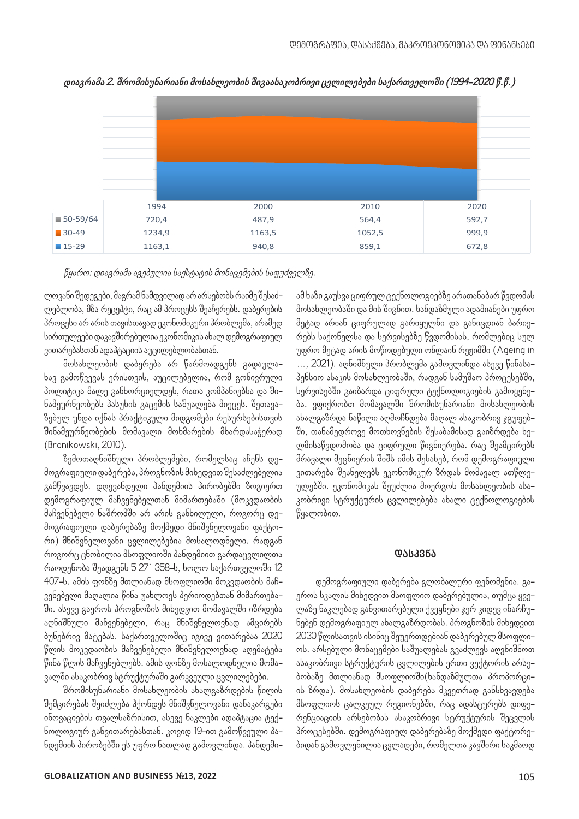

**დიაგრამა 2. შრომისუნარიანი მოსახლეობის შიგაასაკობრივი ცვლილებები საქართველოში (1994-2020 წ.წ.)**

წყარო: დიაგრამა აგებულია საქსტატის მონაცემების საფუძველზე.

ლოვანი შედეგები, მაგრამ ნამდვილად არ არსებობს რაიმე შესაძლებლობა, მზა რეცეპტი, რაც ამ პროცესს შეაჩერებს. დაბერების პროცესი არ არის თავისთავად ეკონომიკური პრობლემა, არამედ სირთულეები დაკავშირებულია ეკონომიკის ახალ დემოგრაფიულ ვითარებასთან ადაპტაციის აუცილებლობასთან.

მოსახლეობის დაბერება არ წარმოადგენს გადაულახავ გამოწვევას ერისთვის, აუცილებელია, რომ გონივრული პოლიტიკა მალე განხორციელდეს, რათა კომპანიებსა და შინამეურნეობებს პასუხის გაცემის საშუალება მიეცეს. შეთავაზებულ უნდა იქნას პრაქტიკული მიდგომები რესურსებისთვის შინამეურნეობების მომავალი მოხმარების მხარდასაჭერად (Bronikowski, 2010).

ზემოთაღნიშნული პრობლემები, რომელსაც აჩენს დემოგრაფიული დაბერება, პროგნოზის მიხედვით შესაძლებელია გამწვავდეს. დღევანდელი პანდემიის პირობებში ზოგიერთ დემოგრაფიულ მაჩვენებელთან მიმართებაში (მოკვდაობის მაჩვენებელი ნაშრომში არ არის განხილული, როგორც დემოგრაფიული დაბერებაზე მოქმედი მნიშვნელოვანი ფაქტორი) მნიშვნელოვანი ცვლილებებია მოსალოდნელი. რადგან როგორც ცნობილია მსოფლიოში პანდემიით გარდაცვლილთა რაოდენობა შეადგენს 5 271 358-ს, ხოლო საქართველოში 12 407-ს. ამის ფონზე მთლიანად მსოფლიოში მოკვდაობის მაჩვენებელი მაღალია წინა უახლოეს პერიოდებთან მიმართებაში. ასევე გაეროს პროგნოზის მიხედვით მომავალში იზრდება აღნიშნული მაჩვენებელი, რაც მნიშვნელოვნად ამცირებს ბუნებრივ მატებას. საქართველოშიც იგივე ვითარებაა 2020 წლის მოკვდაობის მაჩვენებელი მნიშვნელოვნად აღემატება წინა წლის მაჩვენებლებს. ამის ფონზე მოსალოდნელია მომავალში ასაკობრივ სტრუქტურაში გარკვეული ცვლილებები.

შრომისუნარიანი მოსახლეობის ახალგაზრდების წილის შემცირებას შეიძლება ჰქონდეს მნიშვნელოვანი დანაკარგები ინოვაციების თვალსაზრისით, ასევე ნაკლები ადაპტაცია ტექნოლოგიურ განვითარებასთან. კოვიდ 19-ით გამოწვეული პანდემიის პირობებში ეს უფრო ნათლად გამოვლინდა. პანდემი*-*

ამ ხაზი გაუსვა ციფრულ ტექნოლოგიებზე არათანაბარ წვდომას მოსახლეობაში და მის შიგნით. ხანდაზმული ადამიანები უფრო მეტად არიან ციფრულად გარიყულნი და განიცდიან ბარიერებს საქონელსა და სერვისებზე წვდომისას, რომლებიც სულ უფრო მეტად არის მოწოდებული ონლაინ რეჟიმში (Ageing in …, 2021). აღნიშნული პრობლემა გამოვლინდა ასევე წინასაპენსიო ასაკის მოსახლეობაში, რადგან სამუშაო პროცესებში, სერვისებში გაიზარდა ციფრული ტექნოლოგიების გამოყენება. ვფიქრობთ მომავალში შრომისუნარიანი მოსახლეობის ახალგაზრდა ნაწილი აღმოჩნდება მაღალ ასაკობრივ ჯგუფებში, თანამედროვე მოთხოვნების შესაბამისად გაიზრდება ხელმისაწვდომობა და ციფრული წიგნიერება. რაც შეამცირებს მრავალი მეცნიერის შიშს იმის შესახებ, რომ დემოგრაფიული ვითარება შეანელებს ეკონომიკურ ზრდას მომავალ ათწლეულებში. ეკონომიკას შეუძლია მოერგოს მოსახლეობის ასაკობრივი სტრუქტურის ცვლილებებს ახალი ტექნოლოგიების წყალობით.

### **დასკვნა**

დემოგრაფიული დაბერება გლობალური ფენომენია. გაეროს სკალის მიხედვით მსოფლიო დაბერებულია, თუმცა ყველაზე ნაკლებად განვითარებული ქვეყნები ჯერ კიდევ ინარჩუნებენ დემოგრაფიულ ახალგაზრდობას. პროგნოზის მიხედვით 2030 წლისათვის ისინიც შეუერთდებიან დაბერებულ მსოფლიოს. არსებული მონაცემები საშუალებას გვაძლევს აღვნიშნოთ ასაკობრივი სტრუქტურის ცვლილების ერთი ვექტორის არსებობაზე მთლიანად მსოფლიოში(ხანდაზმულთა პროპორციის ზრდა). მოსახლეობის დაბერება მკვეთრად განსხვავდება მსოფლიოს ცალკეულ რეგიონებში, რაც ადასტურებს დიფერენციაციის არსებობას ასაკობრივი სტრუქტურის შეცვლის პროცესებში. დემოგრაფიულ დაბერებაზე მოქმედი ფაქტორებიდან გამოვლენილია ცვლადები, რომელთა კავშირი საკმაოდ